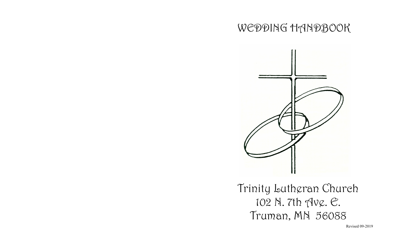# WEDDING HANDBOOK



Trinity Lutheran Church 102 N. 7th Ave. E. Truman, MN 56088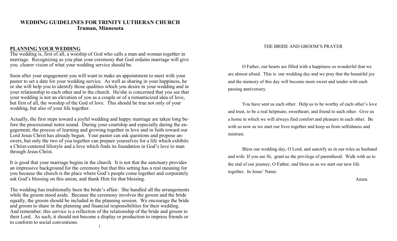## **WEDDING GUIDELINES FOR TRINITY LUTHERAN CHURCH Truman, Minnesota**

#### **PLANNING YOUR WEDDING**

The wedding is, first of all, a worship of God who calls a man and woman together in marriage. Recognizing as you plan your ceremony that God ordains marriage will give you clearer vision of what your wedding service should be.

Soon after your engagement you will want to make an appointment to meet with your pastor to set a date for your wedding service. As well as sharing in your happiness, he or she will help you to identify those qualities which you desire in your wedding and in your relationship to each other and to the church. He/she is concerned that you see that your wedding is not an elevation of you as a couple or of a romanticized idea of love, but first of all, the worship of the God of love. This should be true not only of your wedding, but also of your life together.

Actually, the first steps toward a joyful wedding and happy marriage are taken long before the processional notes sound. During your courtship and especially during the engagement, the process of learning and growing together in love and in faith toward our Lord Jesus Christ has already begun. Your pastor can ask questions and propose answers, but only the two of you together can prepare yourselves for a life which exhibits a Christ-centered lifestyle and a love which finds its foundation in God's love to man through Jesus Christ.

It is good that your marriage begins in the church. It is not that the sanctuary provides an impressive background for the ceremony but that this setting has a real meaning for you because the church is the place where God's people come together and corporately ask God's blessing on this union, and thank Him for that blessing.

The wedding has traditionally been the bride's affair. She handled all the arrangements while the groom stood aside. Because the ceremony involves the groom and the bride equally, the groom should be included in the planning session. We encourage the bride and groom to share in the planning and financial responsibilities for their wedding. And remember, this service is a reflection of the relationship of the bride and groom to their Lord. As such, it should not become a display or production to impress friends or to conform to social conventions.

#### THE BRIDE AND GROOM'S PRAYER

O Father, our hearts are filled with a happiness so wonderful that we are almost afraid. This is our wedding day and we pray that the beautiful joy and the memory of this day will become more sweet and tender with each passing anniversary.

You have sent us each other. Help us to be worthy of each other's love and trust, to be a real helpmate, sweetheart, and friend to each other. Give us a home in which we will always find comfort and pleasure in each other. Be with us now as we start our lives together and keep us from selfishness and mistrust.

Bless our wedding day, O Lord, and sanctify us in our roles as husband and wife. If you see fit, grant us the privilege of parenthood. Walk with us to the end of our journey, O Father, and bless us as we start our new life together. In Jesus' Name.

Amen.

1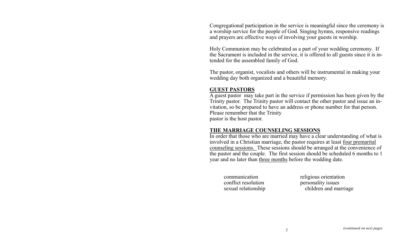Congregational participation in the service is meaningful since the ceremony is a worship service for the people of God. Singing hymns, responsive readings and prayers are effective ways of involving your guests in worship.

Holy Communion may be celebrated as a part of your wedding ceremony. If the Sacrament is included in the service, it is offered to all guests since it is intended for the assembled family of God.

The pastor, organist, vocalists and others will be instrumental in making your wedding day both organized and a beautiful memory.

## **GUEST PASTORS**

A guest pastor may take part in the service if permission has been given by the Trinity pastor. The Trinity pastor will contact the other pastor and issue an invitation, so be prepared to have an address or phone number for that person. Please remember that the Trinity pastor is the host pastor.

## **THE MARRIAGE COUNSELING SESSIONS**

In order that those who are married may have a clear understanding of what is involved in a Christian marriage, the pastor requires at least four premarital counseling sessions. These sessions should be arranged at the convenience of the pastor and the couple. The first session should be scheduled 6 months to 1 year and no later than three months before the wedding date.

conflict resolution personality issues

communication religious orientation sexual relationship children and marriage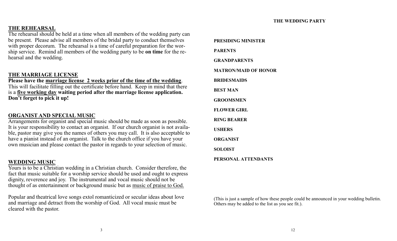#### **THE WEDDING PARTY**

## **THE REHEARSAL**

The rehearsal should be held at a time when all members of the wedding party can be present. Please advise all members of the bridal party to conduct themselves with proper decorum. The rehearsal is a time of careful preparation for the worship service. Remind all members of the wedding party to be **on time** for the rehearsal and the wedding.

## **THE MARRIAGE LICENSE**

**Please have the marriage license 2 weeks prior of the time of the wedding**. This will facilitate filling out the certificate before hand. Keep in mind that there is a **five working day waiting period after the marriage license application. Don't forget to pick it up!**

#### **ORGANIST AND SPECIAL MUSIC**

Arrangements for organist and special music should be made as soon as possible. It is your responsibility to contact an organist. If our church organist is not available, pastor may give you the names of others you may call. It is also acceptable to have a pianist instead of an organist. Talk to the church office if you have your own musician and please contact the pastor in regards to your selection of music.

#### **WEDDING MUSIC**

Yours is to be a Christian wedding in a Christian church. Consider therefore, the fact that music suitable for a worship service should be used and ought to express dignity, reverence and joy. The instrumental and vocal music should not be thought of as entertainment or background music but as music of praise to God.

Popular and theatrical love songs extol romanticized or secular ideas about love and marriage and detract from the worship of God. All vocal music must be cleared with the pastor.

**PRESIDING MINISTER PARENTS GRANDPARENTS MATRON/MAID OF HONOR BRIDESMAIDS BEST MAN GROOMSMEN FLOWER GIRL RING BEARER USHERS ORGANIST SOLOIST**

**PERSONAL ATTENDANTS**

(This is just a sample of how these people could be announced in your wedding bulletin. Others may be added to the list as you see fit.).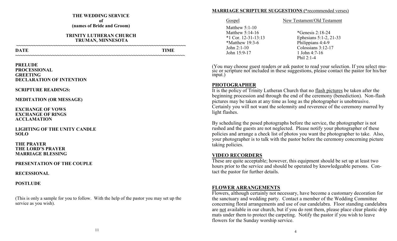#### **THE WEDDING SERVICE of (names of Bride and Groom)**

#### **TRINITY LUTHERAN CHURCH TRUMAN, MINNESOTA**

**~~~~~~~~~~~~~~~~~~~~~~~~~~~~~~~~~~~~~~~~~~~~~~~~~~~~~~~~~~~~~~~~~~~~~**

**~~~~~~~~~~~~~~~~~~~~~~~~~~~~~~~~~~~~~~~~~~~~~~~~~~~~~~~~~~~~~~~~~~~~~**

**DATE** TIME

#### **PRELUDE PROCESSIONAL GREETING DECLARATION OF INTENTION**

#### **SCRIPTURE READINGS:**

#### **MEDITATION (OR MESSAGE)**

#### **EXCHANGE OF VOWS EXCHANGE OF RINGS ACCLAMATION**

#### **LIGHTING OF THE UNITY CANDLE SOLO**

#### **THE PRAYER THE LORD'S PRAYER MARRIAGE BLESSING**

#### **PRESENTATION OF THE COUPLE**

#### **RECESSIONAL**

## **POSTLUDE**

(This is only a sample for you to follow. With the help of the pastor you may set up the service as you wish).

#### **MARRIAGE SCRIPTURE SUGGESTIONS (\***recommended verses)

Matthew 5:1-10 Matthew 5:14-16 \*Genesis 2:18-24 \*Matthew 19:3-6 Philippians 4:4-9 John 15:9-17 1 John 4:7-16

#### Gospel New Testament/Old Testament

\*1 Cor. 12-31-13:13 Ephesians 5:1-2, 21-33 John 2:1-10 Colossians 3:12-17 Phil 2:1-4

(You may choose guest readers or ask pastor to read your selection. If you select music or scripture not included in these suggestions, please contact the pastor for his/her input.)

## **PHOTOGRAPHER**

It is the policy of Trinity Lutheran Church that no flash pictures be taken after the beginning procession and through the end of the ceremony (benediction). Non-flash pictures may be taken at any time as long as the photographer is unobtrusive. Certainly you will not want the solemnity and reverence of the ceremony marred by light flashes.

By scheduling the posed photographs before the service, the photographer is not rushed and the guests are not neglected. Please notify your photographer of these policies and arrange a check list of photos you want the photographer to take. Also, your photographer is to talk with the pastor before the ceremony concerning picture taking policies.

## **VIDEO RECORDERS**

These are quite acceptable; however, this equipment should be set up at least two hours prior to the service and should be operated by knowledgeable persons. Contact the pastor for further details.

## **FLOWER ARRANGEMENTS**

Flowers, although certainly not necessary, have become a customary decoration for the sanctuary and wedding party. Contact a member of the Wedding Committee concerning floral arrangements and use of our candelabra. Floor standing candelabra are not available in our church, but if you do rent them, please place clear plastic drip mats under them to protect the carpeting. Notify the pastor if you wish to leave flowers for the Sunday worship service.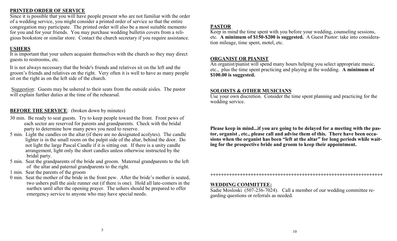## **PRINTED ORDER OF SERVICE**

Since it is possible that you will have people present who are not familiar with the order of a wedding service, you might consider a printed order of service so that the entire congregation may participate. The printed order will also be a most suitable memento for you and for your friends. You may purchase wedding bulletin covers from a religious bookstore or similar store. Contact the church secretary if you require assistance.

# **USHERS**

It is important that your ushers acquaint themselves with the church so they may direct guests to restrooms, etc.

It is not always necessary that the bride's friends and relatives sit on the left and the groom's friends and relatives on the right. Very often it is well to have as many people sit on the right as on the left side of the church.

Suggestion: Guests may be ushered to their seats from the outside aisles. The pastor will explain further duties at the time of the rehearsal.

# **BEFORE THE SERVICE:** (broken down by minutes)

- 30 min. Be ready to seat guests. Try to keep people toward the front. Front pews of each sector are reserved for parents and grandparents. Check with the bridal party to determine how many pews you need to reserve.
- 5 min. Light the candles on the altar (if there are no designated acolytes). The candle lighter is in the small room on the pulpit side of the altar, behind the door. Do not light the large Pascal Candle if it is sitting out. If there is a unity candle arrangement, light only the short candles unless otherwise instructed by the bridal party.
- 5 min. Seat the grandparents of the bride and groom. Maternal grandparents to the left of the altar and paternal grandparents to the right.
- 1 min. Seat the parents of the groom
- 0 min. Seat the mother of the bride in the front pew. After the bride's mother is seated, two ushers pull the aisle runner out (if there is one). Hold all late-comers in the narthex until after the opening prayer. The ushers should be prepared to offer emergency service to anyone who may have special needs.

## **PASTOR**

Keep in mind the time spent with you before your wedding, counseling sessions, etc. **A minimum of \$150-\$200 is suggested.** A Guest Pastor: take into consideration mileage, time spent, motel, etc.

# **ORGANIST OR PIANIST**

An organist/pianist will spend many hours helping you select appropriate music, etc., plus the time spent practicing and playing at the wedding. **A minimum of \$100.00 is suggested.** 

## **SOLOISTS & OTHER MUSICIANS**

Use your own discretion. Consider the time spent planning and practicing for the wedding service.

**Please keep in mind...if you are going to be delayed for a meeting with the pastor, organist , etc., please call and advise them of this. There have been occasions when the organist has been "left at the altar" for long periods while waiting for the prospective bride and groom to keep their appointment.** 

**++++++++++++++++++++++++++++++++++++++++++++++++++++++++++++++++**

## **WEDDING COMMITTEE:**

Sadie Mosloski (507-236-7024). Call a member of our wedding committee regarding questions or referrals as needed.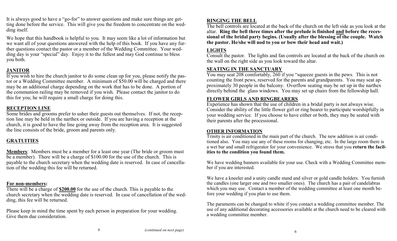It is always good to have a "go-for" to answer questions and make sure things are getting done before the service. This will give you the freedom to concentrate on the wedding itself.

We hope that this handbook is helpful to you. It may seem like a lot of information but we want all of your questions answered with the help of this book. If you have any further questions contact the pastor or a member of the Wedding Committee. Your wedding day is your "special" day. Enjoy it to the fullest and may God continue to bless you both.

# **JANITOR**

If you wish to hire the church janitor to do some clean up for you, please notify the pastor or a Wedding Committee member. A minimum of \$50.00 will be charged and there may be an additional charge depending on the work that has to be done. A portion of the communion railing may be removed if you wish. Please contact the janitor to do this for you; he will require a small charge for doing this.

# **RECEPTION LINE**

Some brides and grooms prefer to usher their guests out themselves. If not, the reception line may be held in the narthex or outside. If you are having a reception at the church, it is good to have the line going away from the reception area. It is suggested the line consists of the bride, groom and parents only.

# **GRATUITIES**

**Members**: Members must be a member for a least one year (The bride or groom must be a member). There will be a charge of \$100.00 for the use of the church. This is payable to the church secretary when the wedding date is reserved. In case of cancellation of the wedding this fee will be returned.

## **For non-members:**

There will be a charge of **\$200.00** for the use of the church. This is payable to the church secretary when the wedding date is reserved. In case of cancellation of the wedding, this fee will be returned.

Please keep in mind the time spent by each person in preparation for your wedding. Give them due consideration.

# **RINGING THE BELL**

The bell controls are located at the back of the church on the left side as you look at the altar. **Ring the bell three times after the prelude is finished and before the recessional of the bridal party begins. (Usually after the blessing of the couple. Watch the pastor. He/she will nod to you or bow their head and wait.)**

# **LIGHTS**

Consult the pastor. The lights and fan controls are located at the back of the church on the wall on the right side as you look toward the altar.

# **SEATING IN THE SANCTUARY**

You may seat 208 comfortably, 260 if you "squeeze guests in the pews. This is not counting the front pews, reserved for the parents and grandparents. You may seat approximately 30 people in the balcony. Overflow seating may be set up in the narthex directly behind the glass windows. You may set up chairs from the fellowship hall.

# **FLOWER GIRLS AND RINGBEARERS**

Experience has shown that the use of children in a bridal party is not always wise. Consider the ability of the little flower girl or ring bearer to participate worshipfully in your wedding service. If you choose to have either or both, they may be seated with their parents after the processional.

## **OTHER INFORMATION**

Trinity is air conditioned in the main part of the church. The new addition is air conditioned also. You may use any of these rooms for changing, etc. In the large room there is a wet bar and small refrigerator for your convenience. We stress that you **return the facilities to the condition you found them.**

We have wedding banners available for your use. Check with a Wedding Committee member if you are interested.

We have a kneeler and a unity candle stand and silver or gold candle holders. You furnish the candles (one larger one and two smaller ones). The church has a pair of candelabras which you may use. Contact a member of the wedding committee at least one month before your wedding if you plan to use them.

The paraments can be changed to white if you contact a wedding committee member. The use of any additional decorating accessories available at the church need to be cleared with a wedding committee member.